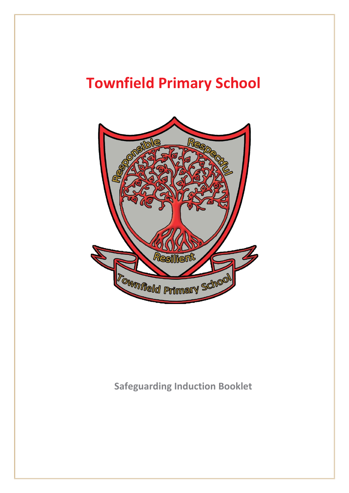# **Townfield Primary School**

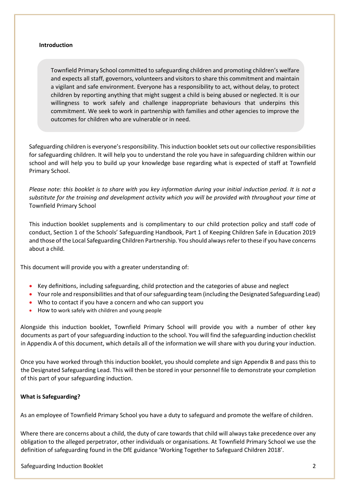#### **Introduction**

Townfield Primary School committed to safeguarding children and promoting children's welfare and expects all staff, governors, volunteers and visitors to share this commitment and maintain a vigilant and safe environment. Everyone has a responsibility to act, without delay, to protect children by reporting anything that might suggest a child is being abused or neglected. It is our willingness to work safely and challenge inappropriate behaviours that underpins this commitment. We seek to work in partnership with families and other agencies to improve the outcomes for children who are vulnerable or in need.

Safeguarding children is everyone's responsibility. This induction booklet sets out our collective responsibilities for safeguarding children. It will help you to understand the role you have in safeguarding children within our school and will help you to build up your knowledge base regarding what is expected of staff at Townfield Primary School.

*Please note: this booklet is to share with you key information during your initial induction period. It is not a substitute for the training and development activity which you will be provided with throughout your time at*  Townfield Primary School

This induction booklet supplements and is complimentary to our child protection policy and staff code of conduct, Section 1 of the Schools' Safeguarding Handbook, Part 1 of Keeping Children Safe in Education 2019 and those of the Local Safeguarding Children Partnership. You should always refer to these if you have concerns about a child.

This document will provide you with a greater understanding of:

- Key definitions, including safeguarding, child protection and the categories of abuse and neglect
- Your role and responsibilities and that of our safeguarding team (including the Designated Safeguarding Lead)
- Who to contact if you have a concern and who can support you
- How to work safely with children and young people

Alongside this induction booklet, Townfield Primary School will provide you with a number of other key documents as part of your safeguarding induction to the school. You will find the safeguarding induction checklist in Appendix A of this document, which details all of the information we will share with you during your induction.

Once you have worked through this induction booklet, you should complete and sign Appendix B and pass this to the Designated Safeguarding Lead. This will then be stored in your personnel file to demonstrate your completion of this part of your safeguarding induction.

#### **What is Safeguarding?**

As an employee of Townfield Primary School you have a duty to safeguard and promote the welfare of children.

Where there are concerns about a child, the duty of care towards that child will always take precedence over any obligation to the alleged perpetrator, other individuals or organisations. At Townfield Primary School we use the definition of safeguarding found in the DfE guidance 'Working Together to Safeguard Children 2018'.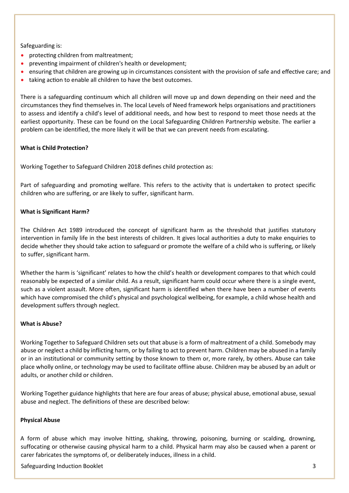Safeguarding is:

- protecting children from maltreatment;
- preventing impairment of children's health or development;
- ensuring that children are growing up in circumstances consistent with the provision of safe and effective care; and
- taking action to enable all children to have the best outcomes.

There is a safeguarding continuum which all children will move up and down depending on their need and the circumstances they find themselves in. The local Levels of Need framework helps organisations and practitioners to assess and identify a child's level of additional needs, and how best to respond to meet those needs at the earliest opportunity. These can be found on the Local Safeguarding Children Partnership website. The earlier a problem can be identified, the more likely it will be that we can prevent needs from escalating.

# **What is Child Protection?**

Working Together to Safeguard Children 2018 defines child protection as:

Part of safeguarding and promoting welfare. This refers to the activity that is undertaken to protect specific children who are suffering, or are likely to suffer, significant harm.

# **What is Significant Harm?**

The Children Act 1989 introduced the concept of significant harm as the threshold that justifies statutory intervention in family life in the best interests of children. It gives local authorities a duty to make enquiries to decide whether they should take action to safeguard or promote the welfare of a child who is suffering, or likely to suffer, significant harm.

Whether the harm is 'significant' relates to how the child's health or development compares to that which could reasonably be expected of a similar child. As a result, significant harm could occur where there is a single event, such as a violent assault. More often, significant harm is identified when there have been a number of events which have compromised the child's physical and psychological wellbeing, for example, a child whose health and development suffers through neglect.

# **What is Abuse?**

Working Together to Safeguard Children sets out that abuse is a form of maltreatment of a child. Somebody may abuse or neglect a child by inflicting harm, or by failing to act to prevent harm. Children may be abused in a family or in an institutional or community setting by those known to them or, more rarely, by others. Abuse can take place wholly online, or technology may be used to facilitate offline abuse. Children may be abused by an adult or adults, or another child or children.

Working Together guidance highlights that here are four areas of abuse; physical abuse, emotional abuse, sexual abuse and neglect. The definitions of these are described below:

# **Physical Abuse**

A form of abuse which may involve hitting, shaking, throwing, poisoning, burning or scalding, drowning, suffocating or otherwise causing physical harm to a child. Physical harm may also be caused when a parent or carer fabricates the symptoms of, or deliberately induces, illness in a child.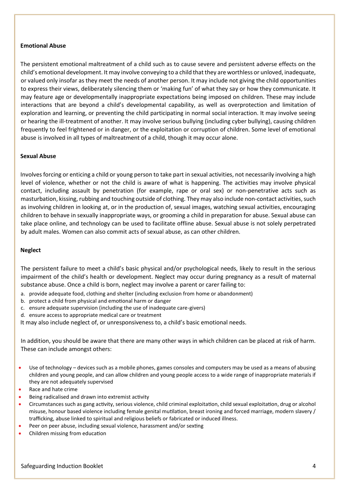#### **Emotional Abuse**

The persistent emotional maltreatment of a child such as to cause severe and persistent adverse effects on the child's emotional development. It may involve conveying to a child that they are worthless or unloved, inadequate, or valued only insofar as they meet the needs of another person. It may include not giving the child opportunities to express their views, deliberately silencing them or 'making fun' of what they say or how they communicate. It may feature age or developmentally inappropriate expectations being imposed on children. These may include interactions that are beyond a child's developmental capability, as well as overprotection and limitation of exploration and learning, or preventing the child participating in normal social interaction. It may involve seeing or hearing the ill-treatment of another. It may involve serious bullying (including cyber bullying), causing children frequently to feel frightened or in danger, or the exploitation or corruption of children. Some level of emotional abuse is involved in all types of maltreatment of a child, though it may occur alone.

#### **Sexual Abuse**

Involves forcing or enticing a child or young person to take part in sexual activities, not necessarily involving a high level of violence, whether or not the child is aware of what is happening. The activities may involve physical contact, including assault by penetration (for example, rape or oral sex) or non-penetrative acts such as masturbation, kissing, rubbing and touching outside of clothing. They may also include non-contact activities, such as involving children in looking at, or in the production of, sexual images, watching sexual activities, encouraging children to behave in sexually inappropriate ways, or grooming a child in preparation for abuse. Sexual abuse can take place online, and technology can be used to facilitate offline abuse. Sexual abuse is not solely perpetrated by adult males. Women can also commit acts of sexual abuse, as can other children.

#### **Neglect**

The persistent failure to meet a child's basic physical and/or psychological needs, likely to result in the serious impairment of the child's health or development. Neglect may occur during pregnancy as a result of maternal substance abuse. Once a child is born, neglect may involve a parent or carer failing to:

- a. provide adequate food, clothing and shelter (including exclusion from home or abandonment)
- b. protect a child from physical and emotional harm or danger
- c. ensure adequate supervision (including the use of inadequate care-givers)
- d. ensure access to appropriate medical care or treatment

It may also include neglect of, or unresponsiveness to, a child's basic emotional needs.

In addition, you should be aware that there are many other ways in which children can be placed at risk of harm. These can include amongst others:

- Use of technology devices such as a mobile phones, games consoles and computers may be used as a means of abusing children and young people, and can allow children and young people access to a wide range of inappropriate materials if they are not adequately supervised
- Race and hate crime
- Being radicalised and drawn into extremist activity
- Circumstances such as gang activity, serious violence, child criminal exploitation, child sexual exploitation, drug or alcohol misuse, honour based violence including female genital mutilation, breast ironing and forced marriage, modern slavery / trafficking, abuse linked to spiritual and religious beliefs or fabricated or induced illness.
- Peer on peer abuse, including sexual violence, harassment and/or sexting
- Children missing from education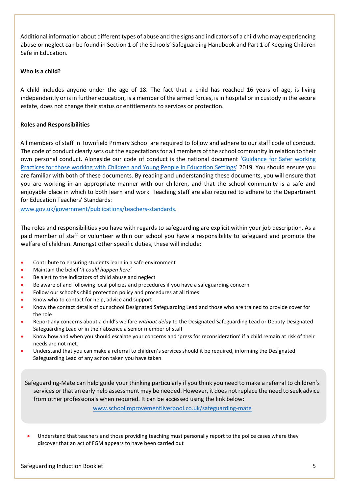Additional information about different types of abuse and the signs and indicators of a child who may experiencing abuse or neglect can be found in Section 1 of the Schools' Safeguarding Handbook and Part 1 of Keeping Children Safe in Education.

#### **Who is a child?**

A child includes anyone under the age of 18. The fact that a child has reached 16 years of age, is living independently or is in further education, is a member of the armed forces, is in hospital or in custody in the secure estate, does not change their status or entitlements to services or protection.

# **Roles and Responsibilities**

All members of staff in Townfield Primary School are required to follow and adhere to our staff code of conduct. The code of conduct clearly sets out the expectations for all members of the school community in relation to their own personal conduct. Alongside our code of conduct is the national document '[Guidance for Safer working](https://www.saferrecruitmentconsortium.org/GSWP%20Sept%202019.pdf)  [Practices for those working with Children and Young People in Education Settings](https://www.saferrecruitmentconsortium.org/GSWP%20Sept%202019.pdf)' 2019. You should ensure you are familiar with both of these documents. By reading and understanding these documents, you will ensure that you are working in an appropriate manner with our children, and that the school community is a safe and enjoyable place in which to both learn and work. Teaching staff are also required to adhere to the Department for Education Teachers' Standards:

[www.gov.uk/government/publications/teachers-standards.](http://www.gov.uk/government/publications/teachers-standards)

The roles and responsibilities you have with regards to safeguarding are explicit within your job description. As a paid member of staff or volunteer within our school you have a responsibility to safeguard and promote the welfare of children. Amongst other specific duties, these will include:

- Contribute to ensuring students learn in a safe environment
- Maintain the belief '*it could happen here'*
- Be alert to the indicators of child abuse and neglect
- Be aware of and following local policies and procedures if you have a safeguarding concern
- Follow our school's child protection policy and procedures at all times
- Know who to contact for help, advice and support
- Know the contact details of our school Designated Safeguarding Lead and those who are trained to provide cover for the role
- Report any concerns about a child's welfare *without delay* to the Designated Safeguarding Lead or Deputy Designated Safeguarding Lead or in their absence a senior member of staff
- Know how and when you should escalate your concerns and 'press for reconsideration' if a child remain at risk of their needs are not met.
- Understand that you can make a referral to children's services should it be required, informing the Designated Safeguarding Lead of any action taken you have taken

Safeguarding-Mate can help guide your thinking particularly if you think you need to make a referral to children's services or that an early help assessment may be needed. However, it does not replace the need to seek advice from other professionals when required. It can be accessed using the link below:

[www.schoolimprovementliverpool.co.uk/safeguarding-mate](http://www.schoolimprovementliverpool.co.uk/safeguarding-mate)

• Understand that teachers and those providing teaching must personally report to the police cases where they discover that an act of FGM appears to have been carried out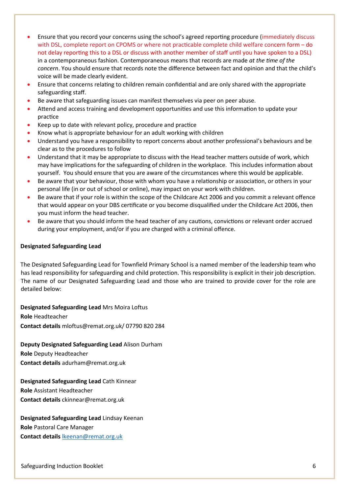- Ensure that you record your concerns using the school's agreed reporting procedure (immediately discuss with DSL, complete report on CPOMS or where not practicable complete child welfare concern form - do not delay reporting this to a DSL or discuss with another member of staff until you have spoken to a DSL) in a contemporaneous fashion. Contemporaneous means that records are made *at the time of the concern*. You should ensure that records note the difference between fact and opinion and that the child's voice will be made clearly evident.
- Ensure that concerns relating to children remain confidential and are only shared with the appropriate safeguarding staff.
- Be aware that safeguarding issues can manifest themselves via peer on peer abuse.
- Attend and access training and development opportunities and use this information to update your practice
- Keep up to date with relevant policy, procedure and practice
- Know what is appropriate behaviour for an adult working with children
- Understand you have a responsibility to report concerns about another professional's behaviours and be clear as to the procedures to follow
- Understand that it may be appropriate to discuss with the Head teacher matters outside of work, which may have implications for the safeguarding of children in the workplace. This includes information about yourself. You should ensure that you are aware of the circumstances where this would be applicable.
- Be aware that your behaviour, those with whom you have a relationship or association, or others in your personal life (in or out of school or online), may impact on your work with children.
- Be aware that if your role is within the scope of the Childcare Act 2006 and you commit a relevant offence that would appear on your DBS certificate or you become disqualified under the Childcare Act 2006, then you must inform the head teacher.
- Be aware that you should inform the head teacher of any cautions, convictions or relevant order accrued during your employment, and/or if you are charged with a criminal offence.

#### **Designated Safeguarding Lead**

The Designated Safeguarding Lead for Townfield Primary School is a named member of the leadership team who has lead responsibility for safeguarding and child protection. This responsibility is explicit in their job description. The name of our Designated Safeguarding Lead and those who are trained to provide cover for the role are detailed below:

**Designated Safeguarding Lead** Mrs Moira Loftus **Role** Headteacher **Contact details** mloftus@remat.org.uk/ 07790 820 284

**Deputy Designated Safeguarding Lead** Alison Durham **Role** Deputy Headteacher

**Contact details** adurham@remat.org.uk

**Designated Safeguarding Lead** Cath Kinnear

**Role** Assistant Headteacher **Contact details** ckinnear@remat.org.uk

**Designated Safeguarding Lead** Lindsay Keenan **Role** Pastoral Care Manager

**Contact details** [lkeenan@remat.org.uk](mailto:lkeenan@remat.org.uk)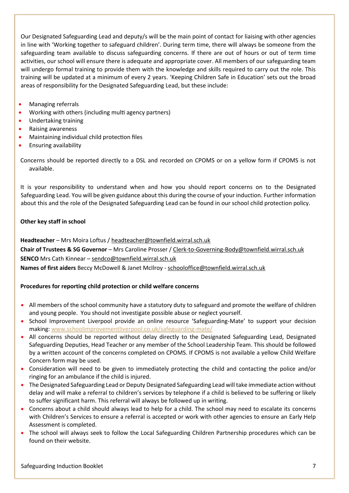Our Designated Safeguarding Lead and deputy/s will be the main point of contact for liaising with other agencies in line with 'Working together to safeguard children'. During term time, there will always be someone from the safeguarding team available to discuss safeguarding concerns. If there are out of hours or out of term time activities, our school will ensure there is adequate and appropriate cover. All members of our safeguarding team will undergo formal training to provide them with the knowledge and skills required to carry out the role. This training will be updated at a minimum of every 2 years. 'Keeping Children Safe in Education' sets out the broad areas of responsibility for the Designated Safeguarding Lead, but these include:

- Managing referrals
- Working with others (including multi agency partners)
- Undertaking training
- Raising awareness
- Maintaining individual child protection files
- Ensuring availability

Concerns should be reported directly to a DSL and recorded on CPOMS or on a yellow form if CPOMS is not available.

It is your responsibility to understand when and how you should report concerns on to the Designated Safeguarding Lead. You will be given guidance about this during the course of your induction. Further information about this and the role of the Designated Safeguarding Lead can be found in our school child protection policy.

# **Other key staff in school**

**Headteacher** – Mrs Moira Loftus / [headteacher@townfield.wirral.sch.uk](mailto:headteacher@townfield.wirral.sch.uk)

**Chair of Trustees & SG Governor** – Mrs Caroline Prosser / [Clerk-to-Governing-Body@townfield.wirral.sch.uk](mailto:Clerk-to-Governing-Body@townfield.wirral.sch.uk)  **SENCO** Mrs Cath Kinnear – [sendco@townfield.wirral.sch.uk](mailto:sendco@townfield.wirral.sch.uk)

**Names of first aiders** Beccy McDowell & Janet McIlroy - [schooloffice@townfield.wirral.sch.uk](mailto:schooloffice@townfield.wirral.sch.uk)

# **Procedures for reporting child protection or child welfare concerns**

- All members of the school community have a statutory duty to safeguard and promote the welfare of children and young people. You should not investigate possible abuse or neglect yourself.
- School Improvement Liverpool provide an online resource 'Safeguarding-Mate' to support your decision making[: www.schoolimprovementliverpool.co.uk/safeguarding-mate/](http://www.schoolimprovementliverpool.co.uk/safeguarding-mate/)
- All concerns should be reported without delay directly to the Designated Safeguarding Lead, Designated Safeguarding Deputies, Head Teacher or any member of the School Leadership Team. This should be followed by a written account of the concerns completed on CPOMS. If CPOMS is not available a yellow Child Welfare Concern form may be used.
- Consideration will need to be given to immediately protecting the child and contacting the police and/or ringing for an ambulance if the child is injured.
- The Designated Safeguarding Lead or Deputy Designated Safeguarding Lead will take immediate action without delay and will make a referral to children's services by telephone if a child is believed to be suffering or likely to suffer significant harm. This referral will always be followed up in writing.
- Concerns about a child should always lead to help for a child. The school may need to escalate its concerns with Children's Services to ensure a referral is accepted or work with other agencies to ensure an Early Help Assessment is completed.
- The school will always seek to follow the Local Safeguarding Children Partnership procedures which can be found on their website.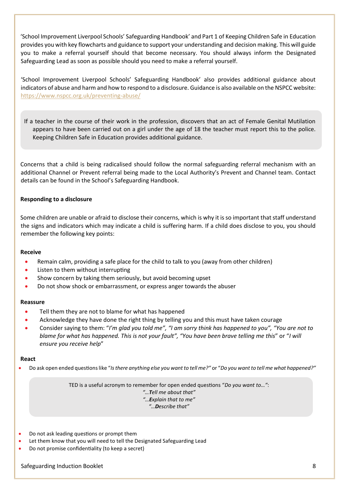'School Improvement Liverpool Schools' Safeguarding Handbook' and Part 1 of Keeping Children Safe in Education provides you with key flowcharts and guidance to support your understanding and decision making. This will guide you to make a referral yourself should that become necessary. You should always inform the Designated Safeguarding Lead as soon as possible should you need to make a referral yourself.

'School Improvement Liverpool Schools' Safeguarding Handbook' also provides additional guidance about indicators of abuse and harm and how to respond to a disclosure. Guidance is also available on the NSPCC website: <https://www.nspcc.org.uk/preventing-abuse/>

If a teacher in the course of their work in the profession, discovers that an act of Female Genital Mutilation appears to have been carried out on a girl under the age of 18 the teacher must report this to the police. Keeping Children Safe in Education provides additional guidance.

Concerns that a child is being radicalised should follow the normal safeguarding referral mechanism with an additional Channel or Prevent referral being made to the Local Authority's Prevent and Channel team. Contact details can be found in the School's Safeguarding Handbook.

# **Responding to a disclosure**

Some children are unable or afraid to disclose their concerns, which is why it is so important that staff understand the signs and indicators which may indicate a child is suffering harm. If a child does disclose to you, you should remember the following key points:

#### **Receive**

- Remain calm, providing a safe place for the child to talk to you (away from other children)
- Listen to them without interrupting
- Show concern by taking them seriously, but avoid becoming upset
- Do not show shock or embarrassment, or express anger towards the abuser

#### **Reassure**

- Tell them they are not to blame for what has happened
- Acknowledge they have done the right thing by telling you and this must have taken courage
- Consider saying to them: "*I'm glad you told me", "I am sorry think has happened to you", "You are not to blame for what has happened. This is not your fault", "You have been brave telling me this*" or "*I will ensure you receive help*"

#### **React**

• Do ask open ended questions like "*Is there anything else you want to tell me?"* or "*Do you want to tell me what happened?"*

TED is a useful acronym to remember for open ended questions "*Do you want to…"*:

*"…Tell me about that"*

*"…Explain that to me"*

*"…Describe that"*

- Do not ask leading questions or prompt them
- Let them know that you will need to tell the Designated Safeguarding Lead
- Do not promise confidentiality (to keep a secret)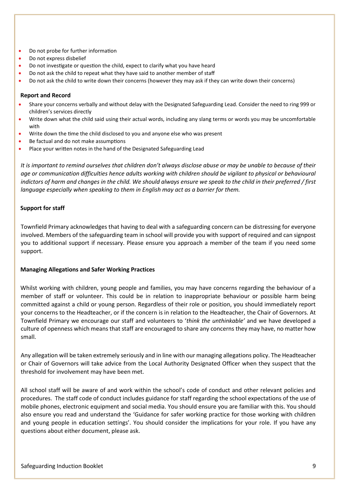- Do not probe for further information
- Do not express disbelief
- Do not investigate or question the child, expect to clarify what you have heard
- Do not ask the child to repeat what they have said to another member of staff
- Do not ask the child to write down their concerns (however they may ask if they can write down their concerns)

#### **Report and Record**

- Share your concerns verbally and without delay with the Designated Safeguarding Lead. Consider the need to ring 999 or children's services directly
- Write down what the child said using their actual words, including any slang terms or words you may be uncomfortable with
- Write down the time the child disclosed to you and anyone else who was present
- Be factual and do not make assumptions
- Place your written notes in the hand of the Designated Safeguarding Lead

*It is important to remind ourselves that children don't always disclose abuse or may be unable to because of their age or communication difficulties hence adults working with children should be vigilant to physical or behavioural indictors of harm and changes in the child. We should always ensure we speak to the child in their preferred / first language especially when speaking to them in English may act as a barrier for them.*

#### **Support for staff**

Townfield Primary acknowledges that having to deal with a safeguarding concern can be distressing for everyone involved. Members of the safeguarding team in school will provide you with support of required and can signpost you to additional support if necessary. Please ensure you approach a member of the team if you need some support.

#### **Managing Allegations and Safer Working Practices**

Whilst working with children, young people and families, you may have concerns regarding the behaviour of a member of staff or volunteer. This could be in relation to inappropriate behaviour or possible harm being committed against a child or young person. Regardless of their role or position, you should immediately report your concerns to the Headteacher, or if the concern is in relation to the Headteacher, the Chair of Governors. At Townfield Primary we encourage our staff and volunteers to '*think the unthinkable'* and we have developed a culture of openness which means that staff are encouraged to share any concerns they may have, no matter how small.

Any allegation will be taken extremely seriously and in line with our managing allegations policy. The Headteacher or Chair of Governors will take advice from the Local Authority Designated Officer when they suspect that the threshold for involvement may have been met.

All school staff will be aware of and work within the school's code of conduct and other relevant policies and procedures. The staff code of conduct includes guidance for staff regarding the school expectations of the use of mobile phones, electronic equipment and social media. You should ensure you are familiar with this. You should also ensure you read and understand the 'Guidance for safer working practice for those working with children and young people in education settings'. You should consider the implications for your role. If you have any questions about either document, please ask.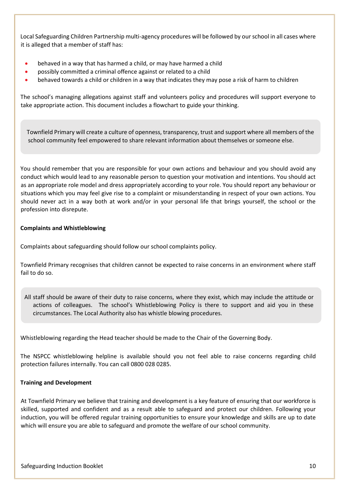Local Safeguarding Children Partnership multi-agency procedures will be followed by our school in all cases where it is alleged that a member of staff has:

- behaved in a way that has harmed a child, or may have harmed a child
- possibly committed a criminal offence against or related to a child
- behaved towards a child or children in a way that indicates they may pose a risk of harm to children

The school's managing allegations against staff and volunteers policy and procedures will support everyone to take appropriate action. This document includes a flowchart to guide your thinking.

 Townfield Primary will create a culture of openness, transparency, trust and support where all members of the school community feel empowered to share relevant information about themselves or someone else.

You should remember that you are responsible for your own actions and behaviour and you should avoid any conduct which would lead to any reasonable person to question your motivation and intentions. You should act as an appropriate role model and dress appropriately according to your role. You should report any behaviour or situations which you may feel give rise to a complaint or misunderstanding in respect of your own actions. You should never act in a way both at work and/or in your personal life that brings yourself, the school or the profession into disrepute.

# **Complaints and Whistleblowing**

Complaints about safeguarding should follow our school complaints policy.

Townfield Primary recognises that children cannot be expected to raise concerns in an environment where staff fail to do so.

All staff should be aware of their duty to raise concerns, where they exist, which may include the attitude or actions of colleagues. The school's Whistleblowing Policy is there to support and aid you in these circumstances. The Local Authority also has whistle blowing procedures.

Whistleblowing regarding the Head teacher should be made to the Chair of the Governing Body.

The NSPCC whistleblowing helpline is available should you not feel able to raise concerns regarding child protection failures internally. You can call 0800 028 0285.

#### **Training and Development**

At Townfield Primary we believe that training and development is a key feature of ensuring that our workforce is skilled, supported and confident and as a result able to safeguard and protect our children. Following your induction, you will be offered regular training opportunities to ensure your knowledge and skills are up to date which will ensure you are able to safeguard and promote the welfare of our school community.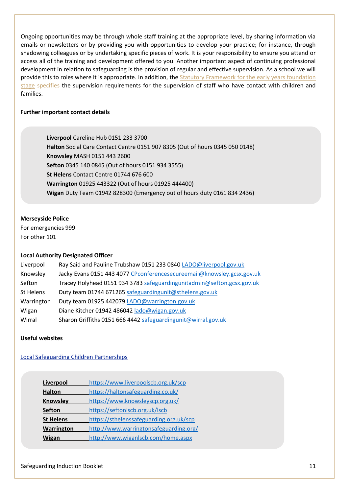Ongoing opportunities may be through whole staff training at the appropriate level, by sharing information via emails or newsletters or by providing you with opportunities to develop your practice; for instance, through shadowing colleagues or by undertaking specific pieces of work. It is your responsibility to ensure you attend or access all of the training and development offered to you. Another important aspect of continuing professional development in relation to safeguarding is the provision of regular and effective supervision. As a school we will provide this to roles where it is appropriate. In addition, the Statutory Framework for the early years foundation [stage](https://www.gov.uk/government/publications/early-years-foundation-stage-framework--2) specifies the supervision requirements for the supervision of staff who have contact with children and families.

#### **Further important contact details**

**Liverpool** Careline Hub 0151 233 3700 **Halton** Social Care Contact Centre 0151 907 8305 (Out of hours 0345 050 0148) **Knowsley** MASH 0151 443 2600 **Sefton** 0345 140 0845 (Out of hours 0151 934 3555) **St Helens** Contact Centre 01744 676 600 **Warrington** 01925 443322 (Out of hours 01925 444400) **Wigan** Duty Team 01942 828300 (Emergency out of hours duty 0161 834 2436)

#### **Merseyside Police**

For emergencies 999 For other 101

# **Local Authority Designated Officer**

| Liverpool  | Ray Said and Pauline Trubshaw 0151 233 0840 LADO@liverpool.gov.uk      |
|------------|------------------------------------------------------------------------|
| Knowsley   | Jacky Evans 0151 443 4077 CPconferencesecureemail@knowsley.gcsx.gov.uk |
| Sefton     | Tracey Holyhead 0151 934 3783 safeguardingunitadmin@sefton.gcsx.gov.uk |
| St Helens  | Duty team 01744 671265 safeguardingunit@sthelens.gov.uk                |
| Warrington | Duty team 01925 442079 LADO@warrington.gov.uk                          |
| Wigan      | Diane Kitcher 01942 486042 lado@wigan.gov.uk                           |
| Wirral     | Sharon Griffiths 0151 666 4442 safeguardingunit@wirral.gov.uk          |

#### **Useful websites**

#### Local Safeguarding Children Partnerships

| Liverpool        | https://www.liverpoolscb.org.uk/scp     |
|------------------|-----------------------------------------|
| <b>Halton</b>    | https://haltonsafeguarding.co.uk/       |
| <b>Knowsley</b>  | https://www.knowsleyscp.org.uk/         |
| <b>Sefton</b>    | https://seftonlscb.org.uk/lscb          |
| <b>St Helens</b> | https://sthelenssafeguarding.org.uk/scp |
| Warrington       | http://www.warringtonsafeguarding.org/  |
| Wigan            | http://www.wiganlscb.com/home.aspx      |